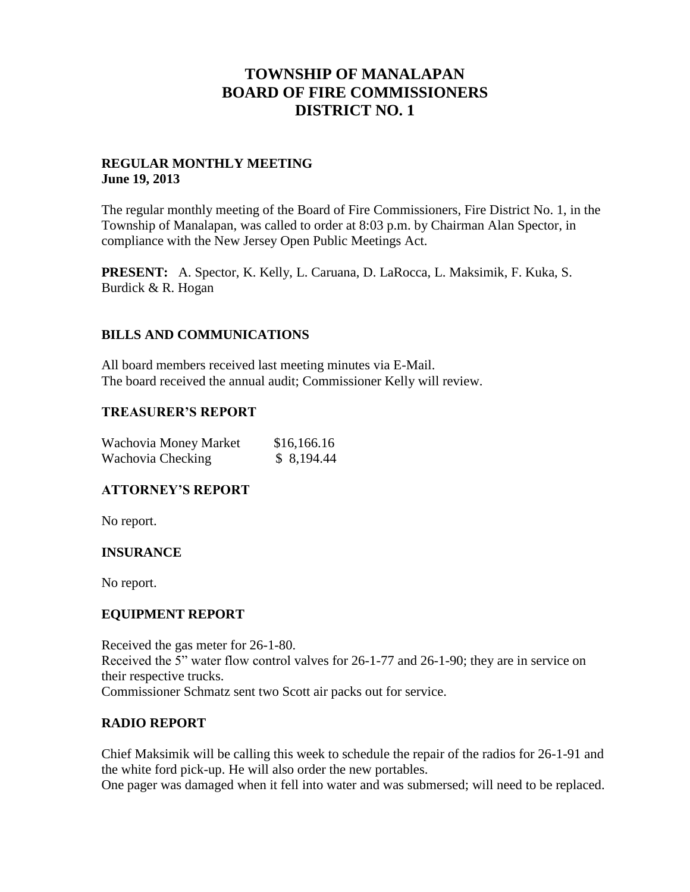## **TOWNSHIP OF MANALAPAN BOARD OF FIRE COMMISSIONERS DISTRICT NO. 1**

#### **REGULAR MONTHLY MEETING June 19, 2013**

The regular monthly meeting of the Board of Fire Commissioners, Fire District No. 1, in the Township of Manalapan, was called to order at 8:03 p.m. by Chairman Alan Spector, in compliance with the New Jersey Open Public Meetings Act.

**PRESENT:** A. Spector, K. Kelly, L. Caruana, D. LaRocca, L. Maksimik, F. Kuka, S. Burdick & R. Hogan

#### **BILLS AND COMMUNICATIONS**

All board members received last meeting minutes via E-Mail. The board received the annual audit; Commissioner Kelly will review.

#### **TREASURER'S REPORT**

| Wachovia Money Market | \$16,166.16 |
|-----------------------|-------------|
| Wachovia Checking     | \$8,194.44  |

### **ATTORNEY'S REPORT**

No report.

### **INSURANCE**

No report.

#### **EQUIPMENT REPORT**

Received the gas meter for 26-1-80. Received the 5" water flow control valves for 26-1-77 and 26-1-90; they are in service on their respective trucks. Commissioner Schmatz sent two Scott air packs out for service.

#### **RADIO REPORT**

Chief Maksimik will be calling this week to schedule the repair of the radios for 26-1-91 and the white ford pick-up. He will also order the new portables.

One pager was damaged when it fell into water and was submersed; will need to be replaced.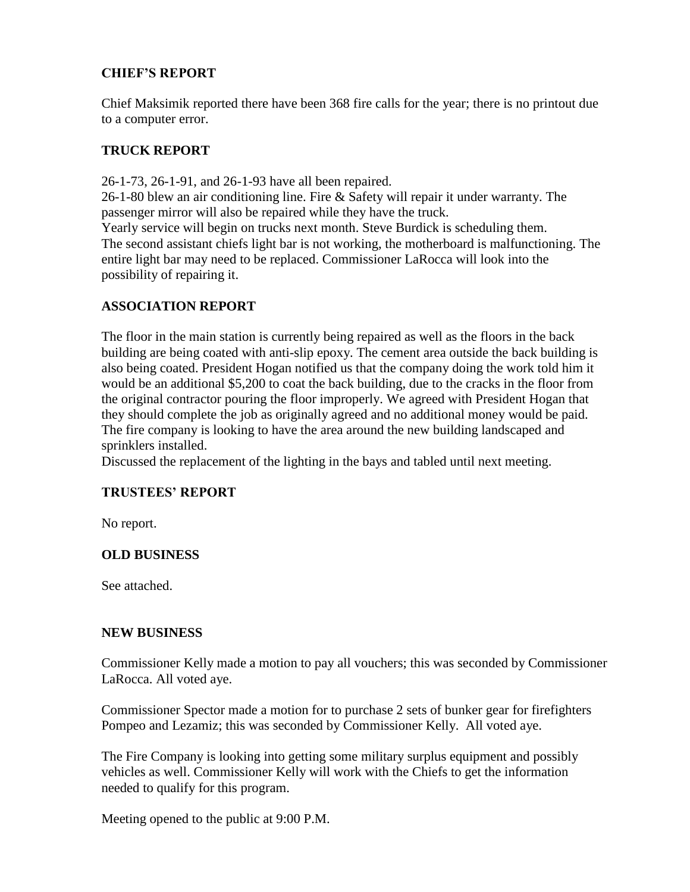## **CHIEF'S REPORT**

Chief Maksimik reported there have been 368 fire calls for the year; there is no printout due to a computer error.

## **TRUCK REPORT**

26-1-73, 26-1-91, and 26-1-93 have all been repaired. 26-1-80 blew an air conditioning line. Fire & Safety will repair it under warranty. The passenger mirror will also be repaired while they have the truck. Yearly service will begin on trucks next month. Steve Burdick is scheduling them. The second assistant chiefs light bar is not working, the motherboard is malfunctioning. The entire light bar may need to be replaced. Commissioner LaRocca will look into the possibility of repairing it.

## **ASSOCIATION REPORT**

The floor in the main station is currently being repaired as well as the floors in the back building are being coated with anti-slip epoxy. The cement area outside the back building is also being coated. President Hogan notified us that the company doing the work told him it would be an additional \$5,200 to coat the back building, due to the cracks in the floor from the original contractor pouring the floor improperly. We agreed with President Hogan that they should complete the job as originally agreed and no additional money would be paid. The fire company is looking to have the area around the new building landscaped and sprinklers installed.

Discussed the replacement of the lighting in the bays and tabled until next meeting.

### **TRUSTEES' REPORT**

No report.

### **OLD BUSINESS**

See attached.

#### **NEW BUSINESS**

Commissioner Kelly made a motion to pay all vouchers; this was seconded by Commissioner LaRocca. All voted aye.

Commissioner Spector made a motion for to purchase 2 sets of bunker gear for firefighters Pompeo and Lezamiz; this was seconded by Commissioner Kelly. All voted aye.

The Fire Company is looking into getting some military surplus equipment and possibly vehicles as well. Commissioner Kelly will work with the Chiefs to get the information needed to qualify for this program.

Meeting opened to the public at 9:00 P.M.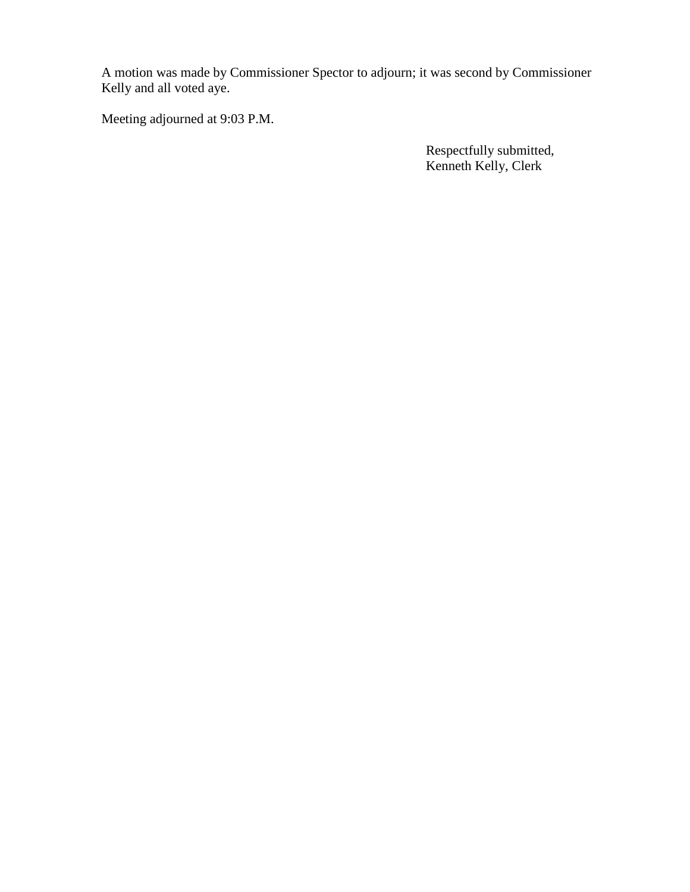A motion was made by Commissioner Spector to adjourn; it was second by Commissioner Kelly and all voted aye.

Meeting adjourned at 9:03 P.M.

 Respectfully submitted, Kenneth Kelly, Clerk